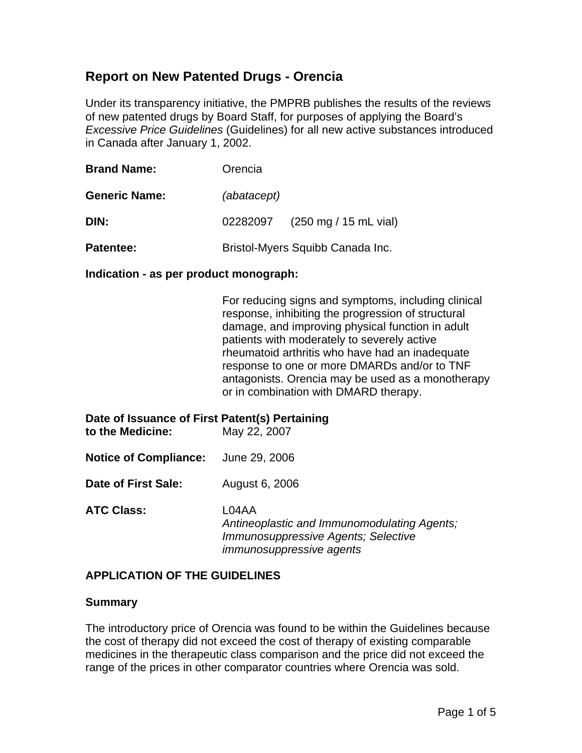# **Report on New Patented Drugs - Orencia**

Under its transparency initiative, the PMPRB publishes the results of the reviews of new patented drugs by Board Staff, for purposes of applying the Board's *Excessive Price Guidelines* (Guidelines) for all new active substances introduced in Canada after January 1, 2002.

| <b>Brand Name:</b>   | Orencia                          |                                         |  |
|----------------------|----------------------------------|-----------------------------------------|--|
| <b>Generic Name:</b> | (abatacept)                      |                                         |  |
| DIN:                 | 02282097                         | $(250 \text{ mg} / 15 \text{ mL}$ vial) |  |
| Patentee:            | Bristol-Myers Squibb Canada Inc. |                                         |  |

#### **Indication - as per product monograph:**

For reducing signs and symptoms, including clinical response, inhibiting the progression of structural damage, and improving physical function in adult patients with moderately to severely active rheumatoid arthritis who have had an inadequate response to one or more DMARDs and/or to TNF antagonists. Orencia may be used as a monotherapy or in combination with DMARD therapy.

| Date of Issuance of First Patent(s) Pertaining<br>to the Medicine: | May 22, 2007                                                                                |
|--------------------------------------------------------------------|---------------------------------------------------------------------------------------------|
| <b>Notice of Compliance:</b> June 29, 2006                         |                                                                                             |
| Date of First Sale:                                                | August 6, 2006                                                                              |
| <b>ATC Class:</b>                                                  | L04AA<br>Antineoplastic and Immunomodulating Agents;<br>Immunosuppressive Agents; Selective |

### **APPLICATION OF THE GUIDELINES**

#### **Summary**

The introductory price of Orencia was found to be within the Guidelines because the cost of therapy did not exceed the cost of therapy of existing comparable medicines in the therapeutic class comparison and the price did not exceed the range of the prices in other comparator countries where Orencia was sold.

*immunosuppressive agents*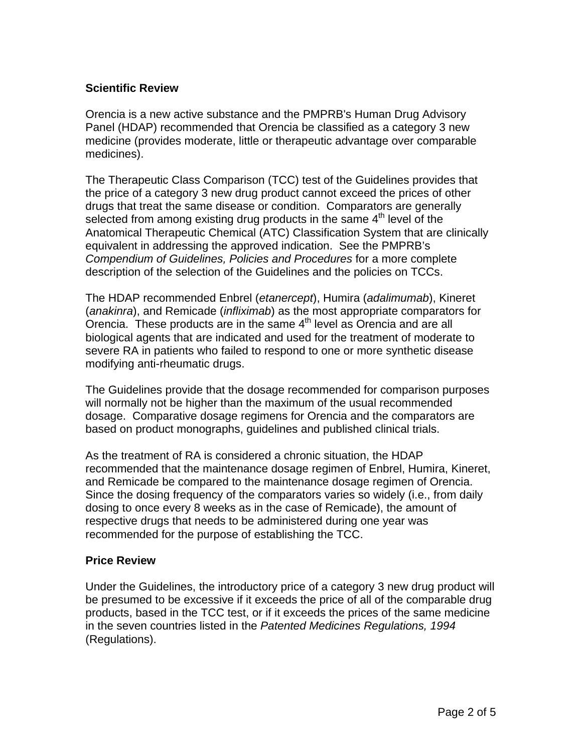## **Scientific Review**

Orencia is a new active substance and the PMPRB's Human Drug Advisory Panel (HDAP) recommended that Orencia be classified as a category 3 new medicine (provides moderate, little or therapeutic advantage over comparable medicines).

The Therapeutic Class Comparison (TCC) test of the Guidelines provides that the price of a category 3 new drug product cannot exceed the prices of other drugs that treat the same disease or condition. Comparators are generally selected from among existing drug products in the same  $4<sup>th</sup>$  level of the Anatomical Therapeutic Chemical (ATC) Classification System that are clinically equivalent in addressing the approved indication. See the PMPRB's *Compendium of Guidelines, Policies and Procedures* for a more complete description of the selection of the Guidelines and the policies on TCCs.

The HDAP recommended Enbrel (*etanercept*), Humira (*adalimumab*), Kineret (*anakinra*), and Remicade (*infliximab*) as the most appropriate comparators for Orencia. These products are in the same  $4<sup>th</sup>$  level as Orencia and are all biological agents that are indicated and used for the treatment of moderate to severe RA in patients who failed to respond to one or more synthetic disease modifying anti-rheumatic drugs.

The Guidelines provide that the dosage recommended for comparison purposes will normally not be higher than the maximum of the usual recommended dosage. Comparative dosage regimens for Orencia and the comparators are based on product monographs, guidelines and published clinical trials.

As the treatment of RA is considered a chronic situation, the HDAP recommended that the maintenance dosage regimen of Enbrel, Humira, Kineret, and Remicade be compared to the maintenance dosage regimen of Orencia. Since the dosing frequency of the comparators varies so widely (i.e., from daily dosing to once every 8 weeks as in the case of Remicade), the amount of respective drugs that needs to be administered during one year was recommended for the purpose of establishing the TCC.

### **Price Review**

Under the Guidelines, the introductory price of a category 3 new drug product will be presumed to be excessive if it exceeds the price of all of the comparable drug products, based in the TCC test, or if it exceeds the prices of the same medicine in the seven countries listed in the *Patented Medicines Regulations, 1994* (Regulations).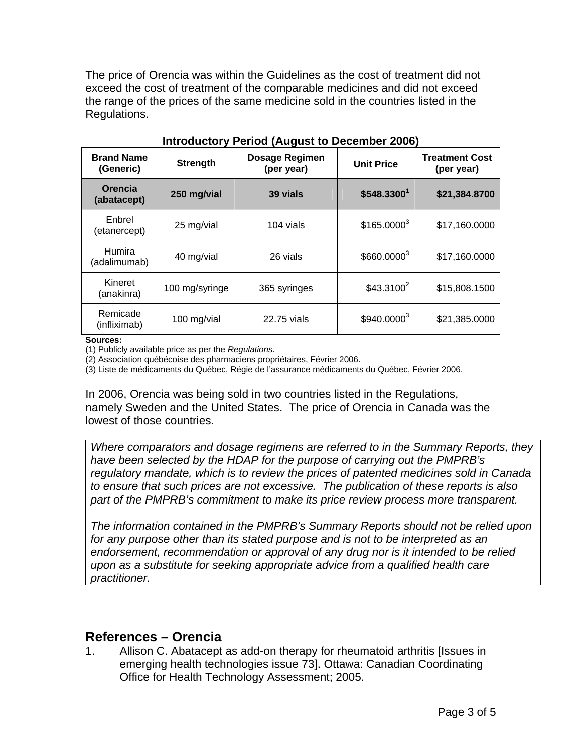The price of Orencia was within the Guidelines as the cost of treatment did not exceed the cost of treatment of the comparable medicines and did not exceed the range of the prices of the same medicine sold in the countries listed in the Regulations.

| <b>Brand Name</b><br>(Generic) | <b>Strength</b> | <b>Dosage Regimen</b><br>(per year) | <b>Unit Price</b>       | <b>Treatment Cost</b><br>(per year) |
|--------------------------------|-----------------|-------------------------------------|-------------------------|-------------------------------------|
| Orencia<br>(abatacept)         | 250 mg/vial     | 39 vials                            | \$548.3300 <sup>1</sup> | \$21,384.8700                       |
| Enbrel<br>(etanercept)         | 25 mg/vial      | 104 vials                           | $$165.0000^3$           | \$17,160.0000                       |
| <b>Humira</b><br>(adalimumab)  | 40 mg/vial      | 26 vials                            | \$660.00003             | \$17,160.0000                       |
| Kineret<br>(anakinra)          | 100 mg/syringe  | 365 syringes                        | $$43.3100^2$            | \$15,808.1500                       |
| Remicade<br>(infliximab)       | 100 mg/vial     | 22.75 vials                         | $$940.0000^3$           | \$21,385.0000                       |

**Introductory Period (August to December 2006)** 

**Sources:** 

(1) Publicly available price as per the *Regulations.*

(2) Association québécoise des pharmaciens propriétaires, Février 2006.

(3) Liste de médicaments du Québec, Régie de l'assurance médicaments du Québec, Février 2006.

In 2006, Orencia was being sold in two countries listed in the Regulations, namely Sweden and the United States. The price of Orencia in Canada was the lowest of those countries.

*Where comparators and dosage regimens are referred to in the Summary Reports, they have been selected by the HDAP for the purpose of carrying out the PMPRB's regulatory mandate, which is to review the prices of patented medicines sold in Canada to ensure that such prices are not excessive. The publication of these reports is also part of the PMPRB's commitment to make its price review process more transparent.* 

*The information contained in the PMPRB's Summary Reports should not be relied upon for any purpose other than its stated purpose and is not to be interpreted as an*  endorsement, recommendation or approval of any drug nor is it intended to be relied *upon as a substitute for seeking appropriate advice from a qualified health care practitioner.* 

# **References – Orencia**

1. Allison C. Abatacept as add-on therapy for rheumatoid arthritis [Issues in emerging health technologies issue 73]. Ottawa: Canadian Coordinating Office for Health Technology Assessment; 2005.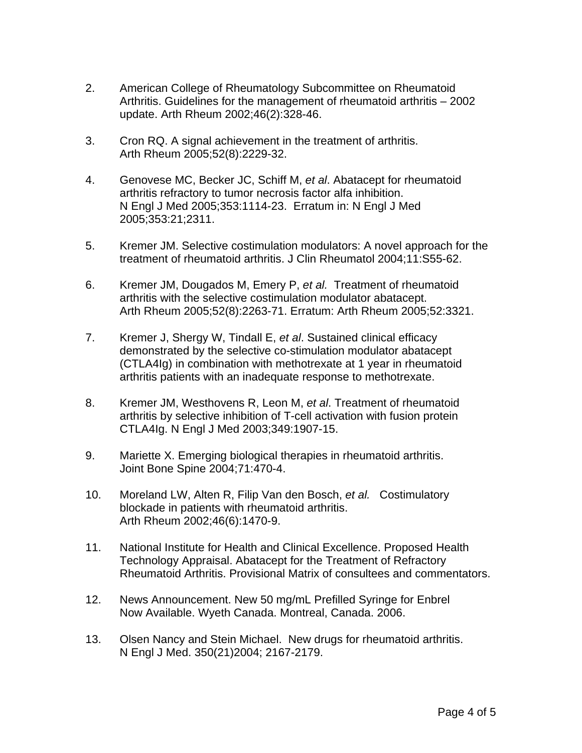- 2. American College of Rheumatology Subcommittee on Rheumatoid Arthritis. Guidelines for the management of rheumatoid arthritis – 2002 update. Arth Rheum 2002;46(2):328-46.
- 3. Cron RQ. A signal achievement in the treatment of arthritis. Arth Rheum 2005;52(8):2229-32.
- 4. Genovese MC, Becker JC, Schiff M, *et al*. Abatacept for rheumatoid arthritis refractory to tumor necrosis factor alfa inhibition. N Engl J Med 2005;353:1114-23. Erratum in: N Engl J Med 2005;353:21;2311.
- 5. Kremer JM. Selective costimulation modulators: A novel approach for the treatment of rheumatoid arthritis. J Clin Rheumatol 2004;11:S55-62.
- 6. Kremer JM, Dougados M, Emery P, *et al.* Treatment of rheumatoid arthritis with the selective costimulation modulator abatacept. Arth Rheum 2005;52(8):2263-71. Erratum: Arth Rheum 2005;52:3321.
- 7. Kremer J, Shergy W, Tindall E, *et al*. Sustained clinical efficacy demonstrated by the selective co-stimulation modulator abatacept (CTLA4Ig) in combination with methotrexate at 1 year in rheumatoid arthritis patients with an inadequate response to methotrexate.
- 8. Kremer JM, Westhovens R, Leon M, *et al*. Treatment of rheumatoid arthritis by selective inhibition of T-cell activation with fusion protein CTLA4Ig. N Engl J Med 2003;349:1907-15.
- 9. Mariette X. Emerging biological therapies in rheumatoid arthritis. Joint Bone Spine 2004;71:470-4.
- 10. Moreland LW, Alten R, Filip Van den Bosch, *et al.* Costimulatory blockade in patients with rheumatoid arthritis. Arth Rheum 2002;46(6):1470-9.
- 11. National Institute for Health and Clinical Excellence. Proposed Health Technology Appraisal. Abatacept for the Treatment of Refractory Rheumatoid Arthritis. Provisional Matrix of consultees and commentators.
- 12. News Announcement. New 50 mg/mL Prefilled Syringe for Enbrel Now Available. Wyeth Canada. Montreal, Canada. 2006.
- 13. Olsen Nancy and Stein Michael. New drugs for rheumatoid arthritis. N Engl J Med. 350(21)2004; 2167-2179.